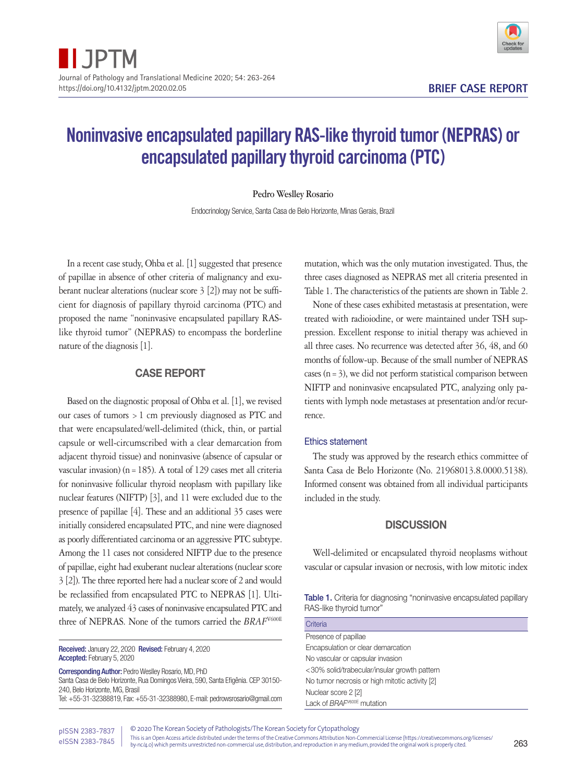

# Noninvasive encapsulated papillary RAS-like thyroid tumor (NEPRAS) or encapsulated papillary thyroid carcinoma (PTC)

## **Pedro Weslley Rosario**

Endocrinology Service, Santa Casa de Belo Horizonte, Minas Gerais, Brazil

In a recent case study, Ohba et al. [1] suggested that presence of papillae in absence of other criteria of malignancy and exuberant nuclear alterations (nuclear score 3 [2]) may not be sufficient for diagnosis of papillary thyroid carcinoma (PTC) and proposed the name "noninvasive encapsulated papillary RASlike thyroid tumor" (NEPRAS) to encompass the borderline nature of the diagnosis [1].

# CASE REPORT

Based on the diagnostic proposal of Ohba et al. [1], we revised our cases of tumors >1 cm previously diagnosed as PTC and that were encapsulated/well-delimited (thick, thin, or partial capsule or well-circumscribed with a clear demarcation from adjacent thyroid tissue) and noninvasive (absence of capsular or vascular invasion) ( $n=185$ ). A total of 129 cases met all criteria for noninvasive follicular thyroid neoplasm with papillary like nuclear features (NIFTP) [3], and 11 were excluded due to the presence of papillae [4]. These and an additional 35 cases were initially considered encapsulated PTC, and nine were diagnosed as poorly differentiated carcinoma or an aggressive PTC subtype. Among the 11 cases not considered NIFTP due to the presence of papillae, eight had exuberant nuclear alterations (nuclear score 3 [2]). The three reported here had a nuclear score of 2 and would be reclassified from encapsulated PTC to NEPRAS [1]. Ultimately, we analyzed 43 cases of noninvasive encapsulated PTC and three of NEPRAS. None of the tumors carried the  $BRAF^{\text{V600E}}$ 

Received: January 22, 2020 Revised: February 4, 2020 Accepted: February 5, 2020

Corresponding Author: Pedro Weslley Rosario, MD, PhD

Santa Casa de Belo Horizonte, Rua Domingos Vieira, 590, Santa Efigênia. CEP 30150- 240, Belo Horizonte, MG, Brasil Tel: +55-31-32388819, Fax: +55-31-32388980, E-mail: pedrowsrosario@gmail.com mutation, which was the only mutation investigated. Thus, the three cases diagnosed as NEPRAS met all criteria presented in Table 1. The characteristics of the patients are shown in Table 2.

None of these cases exhibited metastasis at presentation, were treated with radioiodine, or were maintained under TSH suppression. Excellent response to initial therapy was achieved in all three cases. No recurrence was detected after 36, 48, and 60 months of follow-up. Because of the small number of NEPRAS cases  $(n=3)$ , we did not perform statistical comparison between NIFTP and noninvasive encapsulated PTC, analyzing only patients with lymph node metastases at presentation and/or recurrence.

### Ethics statement

The study was approved by the research ethics committee of Santa Casa de Belo Horizonte (No. 21968013.8.0000.5138). Informed consent was obtained from all individual participants included in the study.

## **DISCUSSION**

Well-delimited or encapsulated thyroid neoplasms without vascular or capsular invasion or necrosis, with low mitotic index

Table 1. Criteria for diagnosing "noninvasive encapsulated papillary RAS-like thyroid tumor"

| Criteria                                       |
|------------------------------------------------|
| Presence of papillae                           |
| Encapsulation or clear demarcation             |
| No vascular or capsular invasion               |
| <30% solid/trabecular/insular growth pattern   |
| No tumor necrosis or high mitotic activity [2] |
| Nuclear score 2 [2]                            |
| Lack of BRAF <sup>V600E</sup> mutation         |